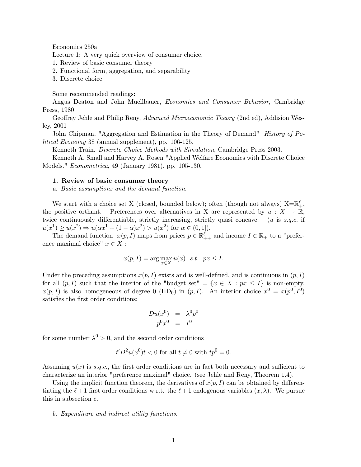Economics 250a

Lecture 1: A very quick overview of consumer choice.

- 1. Review of basic consumer theory
- 2. Functional form, aggregation, and separability
- 3. Discrete choice

Some recommended readings:

Angus Deaton and John Muellbauer, Economics and Consumer Behavior, Cambridge Press, 1980

Geoffrey Jehle and Philip Reny, Advanced Microeconomic Theory (2nd ed), Addision Wesley, 2001

John Chipman, "Aggregation and Estimation in the Theory of Demand" History of Political Economy 38 (annual supplement), pp. 106-125.

Kenneth Train. Discrete Choice Methods with Simulation, Cambridge Press 2003.

Kenneth A. Small and Harvey A. Rosen "Applied Welfare Economics with Discrete Choice Models." Econometrica, 49 (January 1981), pp. 105-130.

# 1. Review of basic consumer theory

a. Basic assumptions and the demand function.

We start with a choice set X (closed, bounded below); often (though not always)  $X=\mathbb{R}^\ell_+$ , the positive orthant. Preferences over alternatives in X are represented by  $u : X \to \mathbb{R}$ , twice continuously differentiable, strictly increasing, strictly quasi concave. (u is  $s.q.c.$  if  $u(x^{1}) \ge u(x^{2}) \Rightarrow u(\alpha x^{1} + (1 - \alpha)x^{2}) > u(x^{2})$  for  $\alpha \in (0, 1]$ .

The demand function  $x(p, I)$  maps from prices  $p \in \mathbb{R}^{\ell}_{++}$  and income  $I \in \mathbb{R}_{+}$  to a "preference maximal choice"  $x \in X$ :

$$
x(p, I) = \arg\max_{x \in X} u(x) \quad s.t. \quad px \leq I.
$$

Under the preceding assumptions  $x(p, I)$  exists and is well-defined, and is continuous in  $(p, I)$ for all  $(p, I)$  such that the interior of the "budget set" =  $\{x \in X : px \leq I\}$  is non-empty.  $x(p, I)$  is also homogeneous of degree 0 (HD<sub>0</sub>) in  $(p, I)$ . An interior choice  $x^0 = x(p^0, I^0)$ satisfies the first order conditions:

$$
\begin{array}{ccc} Du(x^0) &=& \lambda^0 p^0 \\ p^0 x^0 &=& I^0 \end{array}
$$

for some number  $\lambda^0 > 0$ , and the second order conditions

$$
t'D2u(x0)t < 0
$$
 for all  $t \neq 0$  with  $tp0 = 0$ .

Assuming  $u(x)$  is s.q.c., the first order conditions are in fact both necessary and sufficient to characterize an interior "preference maximal" choice. (see Jehle and Reny, Theorem 1.4).

Using the implicit function theorem, the derivatives of  $x(p, I)$  can be obtained by differentiating the  $\ell + 1$  first order conditions w.r.t. the  $\ell + 1$  endogenous variables  $(x, \lambda)$ . We pursue this in subsection c.

b. Expenditure and indirect utility functions.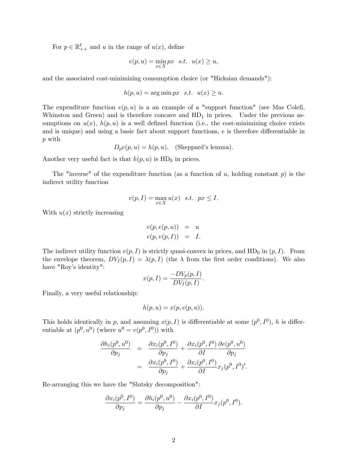For  $p \in \mathbb{R}^{\ell}_{++}$  and u in the range of  $u(x)$ , define

$$
e(p, u) = \min_{x \in X} px \quad s.t. \quad u(x) \ge u,
$$

and the associated cost-minimizing consumption choice (or "Hicksian demands"):

$$
h(p, u) = \arg\min px \ \ s.t. \ \ u(x) \ge u.
$$

The expenditure function  $e(p, u)$  is a an example of a "support function" (see Mas Colell, Whinston and Green) and is therefore concave and  $HD<sub>1</sub>$  in prices. Under the previous assumptions on  $u(x)$ ,  $h(p, u)$  is a well defined function (i.e., the cost-minimizing choice exists and is unique) and using a basic fact about support functions,  $e$  is therefore differentiable in p with

$$
D_p e(p, u) = h(p, u)
$$
. (Sheppard's lemma).

Another very useful fact is that  $h(p, u)$  is  $HD<sub>0</sub>$  in prices.

The "inverse" of the expenditure function (as a function of u, holding constant  $p$ ) is the indirect utility function

$$
v(p, I) = \max_{x \in X} u(x) \quad s.t. \quad px \le I.
$$

With  $u(x)$  strictly increasing

$$
v(p, e(p, u)) = u
$$
  

$$
e(p, v(p, I)) = I.
$$

The indirect utility function  $v(p, I)$  is strictly quasi-convex in prices, and HD<sub>0</sub> in  $(p, I)$ . From the envelope theorem,  $DV_I(p, I) = \lambda(p, I)$  (the  $\lambda$  from the first order conditions). We also have "Roy's identity":

$$
x(p, I) = \frac{-DV_p(p, I)}{DV_I(p, I)}.
$$

Finally, a very useful relationship:

$$
h(p, u) = x(p, e(p, u)).
$$

This holds identically in p, and assuming  $x(p, I)$  is differentiable at some  $(p^0, I^0)$ , h is differentiable at  $(p^0, u^0)$  (where  $u^0 = v(p^0, I^0)$ ) with

$$
\frac{\partial h_i(p^0, u^0)}{\partial p_j} = \frac{\partial x_i(p^0, I^0)}{\partial p_j} + \frac{\partial x_i(p^0, I^0)}{\partial I} \frac{\partial e(p^0, u^0)}{\partial p_j} \n= \frac{\partial x_i(p^0, I^0)}{\partial p_j} + \frac{\partial x_i(p^0, I^0)}{\partial I} x_j(p^0, I^0)'.
$$

Re-arranging this we have the "Slutsky decomposition":

$$
\frac{\partial x_i(p^0, I^0)}{\partial p_j} = \frac{\partial h_i(p^0, u^0)}{\partial p_j} - \frac{\partial x_i(p^0, I^0)}{\partial I} x_j(p^0, I^0).
$$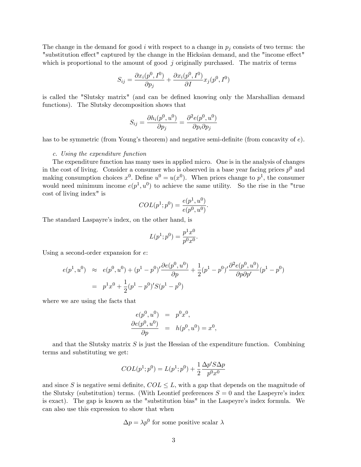The change in the demand for good i with respect to a change in  $p_i$  consists of two terms: the "substitution effect" captured by the change in the Hicksian demand, and the "income effect" which is proportional to the amount of good  $j$  originally purchased. The matrix of terms

$$
S_{ij} = \frac{\partial x_i(p^0, I^0)}{\partial p_j} + \frac{\partial x_i(p^0, I^0)}{\partial I} x_j(p^0, I^0)
$$

is called the "Slutsky matrix" (and can be defined knowing only the Marshallian demand functions). The Slutsky decomposition shows that

$$
S_{ij} = \frac{\partial h_i(p^0, u^0)}{\partial p_j} = \frac{\partial^2 e(p^0, u^0)}{\partial p_i \partial p_j}
$$

has to be symmetric (from Young's theorem) and negative semi-definite (from concavity of  $e$ ).

#### c. Using the expenditure function

The expenditure function has many uses in applied micro. One is in the analysis of changes in the cost of living. Consider a consumer who is observed in a base year facing prices  $p^0$  and making consumption choices  $x^0$ . Define  $u^0 = u(x^0)$ . When prices change to  $p^1$ , the consumer would need minimum income  $e(p^1, u^0)$  to achieve the same utility. So the rise in the "true cost of living index" is

$$
COL(p^1; p^0) = \frac{e(p^1, u^0)}{e(p^0, u^0)}.
$$

The standard Laspayre's index, on the other hand, is

$$
L(p^1; p^0) = \frac{p^1 x^0}{p^0 x^0}.
$$

Using a second-order expansion for e:

$$
e(p^1, u^0) \approx e(p^0, u^0) + (p^1 - p^0)' \frac{\partial e(p^0, u^0)}{\partial p} + \frac{1}{2} (p^1 - p^0)' \frac{\partial^2 e(p^0, u^0)}{\partial p \partial p'} (p^1 - p^0)
$$
  
=  $p^1 x^0 + \frac{1}{2} (p^1 - p^0)' S(p^1 - p^0)$ 

where we are using the facts that

$$
e(p^{0}, u^{0}) = p^{0}x^{0},
$$
  
\n
$$
\frac{\partial e(p^{0}, u^{0})}{\partial p} = h(p^{0}, u^{0}) = x^{0},
$$

and that the Slutsky matrix  $S$  is just the Hessian of the expenditure function. Combining terms and substituting we get:

$$
COL(p^1; p^0) = L(p^1; p^0) + \frac{1}{2} \frac{\Delta p' S \Delta p}{p^0 x^0}
$$

and since S is negative semi-definite,  $COL \leq L$ , with a gap that depends on the magnitude of the Slutsky (substitution) terms. (With Leontief preferences  $S = 0$  and the Laspeyre's index is exact). The gap is known as the "substitution bias" in the Laspeyre's index formula. We can also use this expression to show that when

$$
\Delta p = \lambda p^0
$$
 for some positive scalar  $\lambda$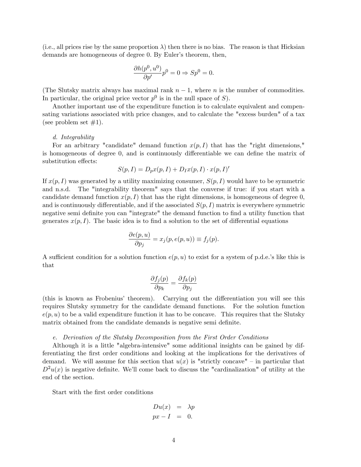(i.e., all prices rise by the same proportion  $\lambda$ ) then there is no bias. The reason is that Hicksian demands are homogeneous of degree 0. By Euler's theorem, then,

$$
\frac{\partial h(p^0, u^0)}{\partial p'} p^0 = 0 \Rightarrow Sp^0 = 0.
$$

(The Slutsky matrix always has maximal rank  $n-1$ , where n is the number of commodities. In particular, the original price vector  $p^0$  is in the null space of S).

Another important use of the expenditure function is to calculate equivalent and compensating variations associated with price changes, and to calculate the "excess burden" of a tax (see problem set  $\#1$ ).

### d. Integrability

For an arbitrary "candidate" demand function  $x(p, I)$  that has the "right dimensions," is homogeneous of degree  $0$ , and is continuously differentiable we can define the matrix of substitution effects:

$$
S(p, I) = D_p x(p, I) + D_I x(p, I) \cdot x(p, I)'
$$

If  $x(p, I)$  was generated by a utility maximizing consumer,  $S(p, I)$  would have to be symmetric and n.s.d. The "integrability theorem" says that the converse if true: if you start with a candidate demand function  $x(p, I)$  that has the right dimensions, is homogeneous of degree 0, and is continuously differentiable, and if the associated  $S(p, I)$  matrix is everywhere symmetric negative semi definite you can "integrate" the demand function to find a utility function that generates  $x(p, I)$ . The basic idea is to find a solution to the set of differential equations

$$
\frac{\partial e(p, u)}{\partial p_j} = x_j(p, e(p, u)) \equiv f_j(p).
$$

A sufficient condition for a solution function  $e(p, u)$  to exist for a system of p.d.e.'s like this is that

$$
\frac{\partial f_j(p)}{\partial p_k} = \frac{\partial f_k(p)}{\partial p_j}
$$

(this is known as Frobenius' theorem). Carrying out the differentiation you will see this requires Slutsky symmetry for the candidate demand functions. For the solution function  $e(p, u)$  to be a valid expenditure function it has to be concave. This requires that the Slutsky matrix obtained from the candidate demands is negative semi-definite.

#### e. Derivation of the Slutsky Decomposition from the First Order Conditions

Although it is a little "algebra-intensive" some additional insights can be gained by differentiating the first order conditions and looking at the implications for the derivatives of demand. We will assume for this section that  $u(x)$  is "strictly concave" – in particular that  $D^2u(x)$  is negative definite. We'll come back to discuss the "cardinalization" of utility at the end of the section.

Start with the first order conditions

$$
Du(x) = \lambda p
$$
  

$$
px - I = 0.
$$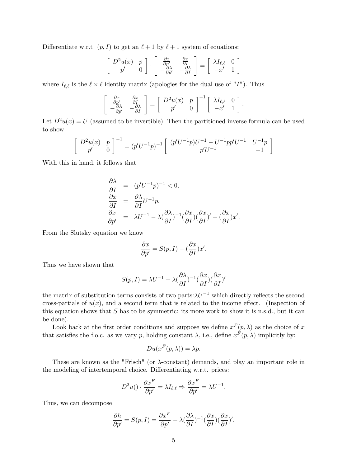Differentiate w.r.t  $(p, I)$  to get an  $\ell + 1$  by  $\ell + 1$  system of equations:

$$
\begin{bmatrix}\nD^2 u(x) & p \\
p' & 0\n\end{bmatrix} \cdot\n\begin{bmatrix}\n\frac{\partial x}{\partial p'} & \frac{\partial x}{\partial I} \\
-\frac{\partial \lambda}{\partial p'} & -\frac{\partial \lambda}{\partial I}\n\end{bmatrix} =\n\begin{bmatrix}\n\lambda I_{\ell,\ell} & 0 \\
-x' & 1\n\end{bmatrix}
$$

where  $I_{\ell,\ell}$  is the  $\ell \times \ell$  identity matrix (apologies for the dual use of "I"). Thus

$$
\begin{bmatrix}\n\frac{\partial x}{\partial p'} & \frac{\partial x}{\partial I} \\
-\frac{\partial \lambda}{\partial p'} & -\frac{\partial \lambda}{\partial I}\n\end{bmatrix} = \begin{bmatrix}\nD^2 u(x) & p \\
p' & 0\n\end{bmatrix}^{-1} \begin{bmatrix}\n\lambda I_{\ell, \ell} & 0 \\
-x' & 1\n\end{bmatrix}.
$$

Let  $D^2u(x) = U$  (assumed to be invertible) Then the partitioned inverse formula can be used to show

$$
\begin{bmatrix} D^2u(x) & p \ p' & 0 \end{bmatrix}^{-1} = (p'U^{-1}p)^{-1} \begin{bmatrix} (p'U^{-1}p)U^{-1} - U^{-1}pp'U^{-1} & U^{-1}p \ p'U^{-1} & -1 \end{bmatrix}
$$

With this in hand, it follows that

$$
\frac{\partial \lambda}{\partial I} = (p'U^{-1}p)^{-1} < 0,
$$
  
\n
$$
\frac{\partial x}{\partial I} = \frac{\partial \lambda}{\partial I}U^{-1}p,
$$
  
\n
$$
\frac{\partial x}{\partial p'} = \lambda U^{-1} - \lambda \left(\frac{\partial \lambda}{\partial I}\right)^{-1} \left(\frac{\partial x}{\partial I}\right) \left(\frac{\partial x}{\partial I}\right)' - \left(\frac{\partial x}{\partial I}\right)x'.
$$

From the Slutsky equation we know

$$
\frac{\partial x}{\partial p'} = S(p, I) - \left(\frac{\partial x}{\partial I}\right)x'.
$$

Thus we have shown that

$$
S(p, I) = \lambda U^{-1} - \lambda \left(\frac{\partial \lambda}{\partial I}\right)^{-1} \left(\frac{\partial x}{\partial I}\right) \left(\frac{\partial x}{\partial I}\right)^{t}
$$

the matrix of substitution terms consists of two parts: $\lambda U^{-1}$  which directly reflects the second cross-partials of  $u(x)$ , and a second term that is related to the income effect. (Inspection of this equation shows that  $S$  has to be symmetric: its more work to show it is n.s.d., but it can be done).

Look back at the first order conditions and suppose we define  $x^F(p, \lambda)$  as the choice of x that satisfies the f.o.c. as we vary p, holding constant  $\lambda$ , i.e., define  $x^F(p, \lambda)$  implicitly by:

$$
Du(x^F(p,\lambda))=\lambda p.
$$

These are known as the "Frisch" (or  $\lambda$ -constant) demands, and play an important role in the modeling of intertemporal choice. Differentiating w.r.t. prices:

$$
D^2u() \cdot \frac{\partial x^F}{\partial p'} = \lambda I_{\ell,\ell} \Rightarrow \frac{\partial x^F}{\partial p'} = \lambda U^{-1}.
$$

Thus, we can decompose

$$
\frac{\partial h}{\partial p'} = S(p, I) = \frac{\partial x^F}{\partial p'} - \lambda \left(\frac{\partial \lambda}{\partial I}\right)^{-1} \left(\frac{\partial x}{\partial I}\right) \left(\frac{\partial x}{\partial I}\right)'.
$$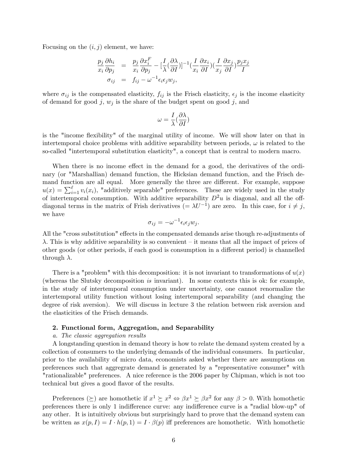Focusing on the  $(i, j)$  element, we have:

$$
\frac{p_j}{x_i} \frac{\partial h_i}{\partial p_j} = \frac{p_j}{x_i} \frac{\partial x_i^F}{\partial p_j} - \left[\frac{I}{\lambda} \left(\frac{\partial \lambda}{\partial I}\right)\right]^{-1} \left(\frac{I}{x_i} \frac{\partial x_i}{\partial I}\right) \left(\frac{I}{x_j} \frac{\partial x_j}{\partial I}\right) \frac{p_j x_j}{I}
$$
\n
$$
\sigma_{ij} = f_{ij} - \omega^{-1} \epsilon_i \epsilon_j w_j,
$$

where  $\sigma_{ij}$  is the compensated elasticity,  $f_{ij}$  is the Frisch elasticity,  $\epsilon_j$  is the income elasticity of demand for good j,  $w_j$  is the share of the budget spent on good j, and

$$
\omega = \frac{I}{\lambda}(\frac{\partial \lambda}{\partial I})
$$

is the "income flexibility" of the marginal utility of income. We will show later on that in intertemporal choice problems with additive separability between periods,  $\omega$  is related to the so-called "intertemporal substitution elasticity", a concept that is central to modern macro.

When there is no income effect in the demand for a good, the derivatives of the ordinary (or "Marshallian) demand function, the Hicksian demand function, and the Frisch demand function are all equal. More generally the three are different. For example, suppose  $u(x) = \sum_{i=1}^{\ell} v_i(x_i)$ , "additively separable" preferences. These are widely used in the study of intertemporal consumption. With additive separability  $D^2u$  is diagonal, and all the offdiagonal terms in the matrix of Frish derivatives  $(=\lambda U^{-1})$  are zero. In this case, for  $i \neq j$ , we have

$$
\sigma_{ij} = -\omega^{-1} \epsilon_i \epsilon_j w_j.
$$

All the "cross substitution" effects in the compensated demands arise though re-adjustments of  $\lambda$ . This is why additive separability is so convenient – it means that all the impact of prices of other goods (or other periods, if each good is consumption in a different period) is channelled through  $\lambda$ .

There is a "problem" with this decomposition: it is not invariant to transformations of  $u(x)$ (whereas the Slutsky decomposition is invariant). In some contexts this is ok: for example, in the study of intertemporal consumption under uncertainty, one cannot renormalize the intertemporal utility function without losing intertemporal separability (and changing the degree of risk aversion). We will discuss in lecture 3 the relation between risk aversion and the elasticities of the Frisch demands.

### 2. Functional form, Aggregation, and Separability

#### a. The classic aggregation results

A longstanding question in demand theory is how to relate the demand system created by a collection of consumers to the underlying demands of the individual consumers. In particular, prior to the availability of micro data, economists asked whether there are assumptions on preferences such that aggregrate demand is generated by a "representative consumer" with "rationalizable" preferences. A nice reference is the 2006 paper by Chipman, which is not too technical but gives a good flavor of the results.

Preferences  $(\succeq)$  are homothetic if  $x^1 \succeq x^2 \Leftrightarrow \beta x^1 \succeq \beta x^2$  for any  $\beta > 0$ . With homothetic preferences there is only 1 indifference curve: any indifference curve is a "radial blow-up" of any other. It is intuitively obvious but surprisingly hard to prove that the demand system can be written as  $x(p, I) = I \cdot h(p, 1) = I \cdot \beta(p)$  iff preferences are homothetic. With homothetic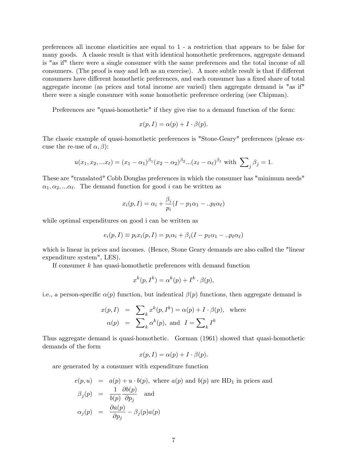preferences all income elasticities are equal to 1 - a restriction that appears to be false for many goods. A classic result is that with identical homothetic preferences, aggregate demand is "as if" there were a single consumer with the same preferences and the total income of all consumers. (The proof is easy and left as an exercise). A more subtle result is that if different consumers have different homothetic preferences, and each consumer has a fixed share of total aggregate income (as prices and total income are varied) then aggregate demand is "as if" there were a single consumer with some homothetic preference ordering (see Chipman).

Preferences are "quasi-homothetic" if they give rise to a demand function of the form:

$$
x(p,I) = \alpha(p) + I \cdot \beta(p).
$$

The classic example of quasi-homothetic preferences is "Stone-Geary" preferences (please excuse the re-use of  $\alpha$ ,  $\beta$ ):

$$
u(x_1, x_2,...x_\ell) = (x_1 - \alpha_1)^{\beta_1} (x_2 - \alpha_2)^{\beta_2}...(x_\ell - \alpha_\ell)^{\beta_\ell} \text{ with } \sum_j \beta_j = 1.
$$

These are "translated" Cobb Douglas preferences in which the consumer has "minimum needs"  $\alpha_1, \alpha_2, \dots \alpha_\ell$ . The demand function for good i can be written as

$$
x_i(p,I) = \alpha_i + \frac{\beta_i}{p_i}(I - p_1\alpha_1 - ... p_\ell \alpha_\ell)
$$

while optimal expenditures on good i can be written as

$$
e_i(p, I) \equiv p_i x_i(p, I) = p_i \alpha_i + \beta_i (I - p_1 \alpha_1 - \ldots p_\ell \alpha_\ell)
$$

which is linear in prices and incomes. (Hence, Stone Geary demands are also called the "linear expenditure system", LES).

If consumer  $k$  has quasi-homothetic preferences with demand function

$$
x^{k}(p, I^{k}) = \alpha^{k}(p) + I^{k} \cdot \beta(p),
$$

i.e., a person-specific  $\alpha(p)$  function, but indentical  $\beta(p)$  functions, then aggregate demand is

$$
x(p, I) = \sum_{k} x^{k}(p, I^{k}) = \alpha(p) + I \cdot \beta(p), \text{ where}
$$
  

$$
\alpha(p) = \sum_{k} \alpha^{k}(p), \text{ and } I = \sum_{k} I^{k}
$$

Thus aggregate demand is quasi-homothetic. Gorman (1961) showed that quasi-homothetic demands of the form

$$
x(p,I) = \alpha(p) + I \cdot \beta(p).
$$

are generated by a consumer with expenditure function

$$
e(p, u) = a(p) + u \cdot b(p), \text{ where } a(p) \text{ and } b(p) \text{ are HD}_1 \text{ in prices and}
$$
  

$$
\beta_j(p) = \frac{1}{b(p)} \frac{\partial b(p)}{\partial p_j} \text{ and}
$$
  

$$
\alpha_j(p) = \frac{\partial a(p)}{\partial p_j} - \beta_j(p)a(p)
$$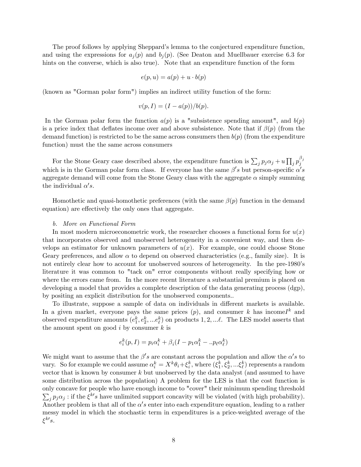The proof follows by applying Sheppard's lemma to the conjectured expenditure function, and using the expressions for  $a_j(p)$  and  $b_j(p)$ . (See Deaton and Muellbauer exercise 6.3 for hints on the converse, which is also true). Note that an expenditure function of the form

$$
e(p, u) = a(p) + u \cdot b(p)
$$

(known as "Gorman polar form") implies an indirect utility function of the form:

$$
v(p,I) = (I - a(p))/b(p).
$$

In the Gorman polar form the function  $a(p)$  is a "subsistence spending amount", and  $b(p)$ is a price index that deflates income over and above subsistence. Note that if  $\beta(p)$  (from the demand function) is restricted to be the same across consumers then  $b(p)$  (from the expenditure function) must the the same across consumers

For the Stone Geary case described above, the expenditure function is  $\sum_j p_j \alpha_j + u \prod_j p_j^{\beta_j}$ j which is in the Gorman polar form class. If everyone has the same  $\beta's$  but person-specific  $\alpha's$ aggregate demand will come from the Stone Geary class with the aggregate  $\alpha$  simply summing the individual  $\alpha's$ .

Homothetic and quasi-homothetic preferences (with the same  $\beta(p)$  function in the demand equation) are effectively the only ones that aggregate.

### b. More on Functional Form

In most modern microeconometric work, the researcher chooses a functional form for  $u(x)$ that incorporates observed and unobserved heterogeneity in a convenient way, and then develops an estimator for unknown parameters of  $u(x)$ . For example, one could choose Stone Geary preferences, and allow  $\alpha$  to depend on observed characteristics (e.g., family size). It is not entirely clear how to account for unobserved sources of heterogeneity. In the pre-1980's literature it was common to "tack on" error components without really specifying how or where the errors came from. In the more recent literature a substantial premium is placed on developing a model that provides a complete description of the data generating process (dgp), by positing an explicit distribution for the unobserved components..

To illustrate, suppose a sample of data on individuals in different markets is available. In a given market, everyone pays the same prices  $(p)$ , and consumer k has incomel<sup>k</sup> and observed expenditure amounts  $(e_1^k, e_2^k, ... e_\ell^k)$  on products  $1, 2, ... \ell$ . The LES model asserts that the amount spent on good  $i$  by consumer  $k$  is

$$
e_i^k(p, I) = p_i \alpha_i^k + \beta_i (I - p_1 \alpha_1^k - \ldots p_\ell \alpha_\ell^k)
$$

We might want to assume that the  $\beta's$  are constant across the population and allow the  $\alpha's$  to vary. So for example we could assume  $\alpha_i^k = X^k \theta_i + \xi_i^k$ , where  $(\xi_1^k, \xi_2^k, ..., \xi_\ell^k)$  represents a random vector that is known by consumer k but unobserved by the data analyst (and assumed to have some distribution across the population) A problem for the LES is that the cost function is only concave for people who have enough income to "cover" their minimum spending threshold  $\sum_j p_j \alpha_j$ : if the  $\xi^{k'} s$  have unlimited support concavity will be violated (with high probability). Another problem is that all of the  $\alpha's$  enter into each expenditure equation, leading to a rather messy model in which the stochastic term in expenditures is a price-weighted average of the  $\xi^{k\prime} s.$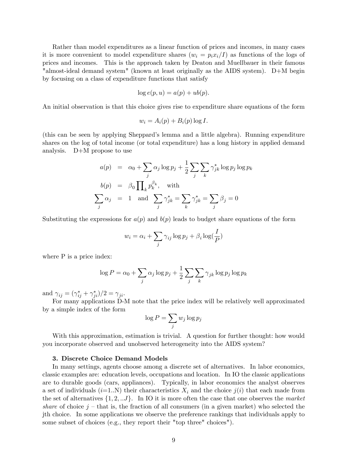Rather than model expenditures as a linear function of prices and incomes, in many cases it is more convenient to model expenditure shares  $(w_i = p_i x_i/I)$  as functions of the logs of prices and incomes. This is the approach taken by Deaton and Muellbauer in their famous "almost-ideal demand system" (known at least originally as the AIDS system). D+M begin by focusing on a class of expenditure functions that satisfy

$$
\log e(p, u) = a(p) + ub(p).
$$

An initial observation is that this choice gives rise to expenditure share equations of the form

$$
w_i = A_i(p) + B_i(p) \log I.
$$

(this can be seen by applying Sheppardís lemma and a little algebra). Running expenditure shares on the log of total income (or total expenditure) has a long history in applied demand analysis. D+M propose to use

$$
a(p) = \alpha_0 + \sum_j \alpha_j \log p_j + \frac{1}{2} \sum_j \sum_k \gamma_{jk}^* \log p_j \log p_k
$$
  
\n
$$
b(p) = \beta_0 \prod_k p_k^{\beta_k}, \text{ with}
$$
  
\n
$$
\sum_j \alpha_j = 1 \text{ and } \sum_j \gamma_{jk}^* = \sum_k \gamma_{jk}^* = \sum_j \beta_j = 0
$$

Substituting the expressions for  $a(p)$  and  $b(p)$  leads to budget share equations of the form

$$
w_i = \alpha_i + \sum_j \gamma_{ij} \log p_j + \beta_i \log(\frac{I}{P})
$$

where P is a price index:

$$
\log P = \alpha_0 + \sum_j \alpha_j \log p_j + \frac{1}{2} \sum_j \sum_k \gamma_{jk} \log p_j \log p_k
$$

and  $\gamma_{ij} = (\gamma_{ij}^* + \gamma_{ji}^*)/2 = \gamma_{ji}$ .

For many applications D-M note that the price index will be relatively well approximated by a simple index of the form

$$
\log P = \sum_j w_j \log p_j
$$

With this approximation, estimation is trivial. A question for further thought: how would you incorporate observed and unobserved heterogeneity into the AIDS system?

# 3. Discrete Choice Demand Models

In many settings, agents choose among a discrete set of alternatives. In labor economics, classic examples are: education levels, occupations and location. In IO the classic applications are to durable goods (cars, appliances). Typically, in labor economics the analyst observes a set of individuals  $(i=1..N)$  their characteristics  $X_i$  and the choice  $j(i)$  that each made from the set of alternatives  $\{1, 2, \ldots J\}$ . In IO it is more often the case that one observes the market share of choice  $j$  – that is, the fraction of all consumers (in a given market) who selected the jth choice. In some applications we observe the preference rankings that individuals apply to some subset of choices (e.g., they report their "top three" choices").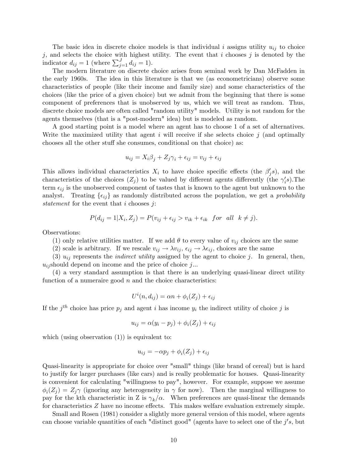The basic idea in discrete choice models is that individual i assigns utility  $u_{ij}$  to choice j, and selects the choice with highest utility. The event that i chooses j is denoted by the indicator  $d_{ij} = 1$  (where  $\sum_{j=1}^{J} d_{ij} = 1$ ).

The modern literature on discrete choice arises from seminal work by Dan McFadden in the early 1960s. The idea in this literature is that we (as econometricians) observe some characteristics of people (like their income and family size) and some characteristics of the choices (like the price of a given choice) but we admit from the beginning that there is some component of preferences that is unobserved by us, which we will treat as random. Thus, discrete choice models are often called "random utility" models. Utility is not random for the agents themselves (that is a "post-modern" idea) but is modeled as random.

A good starting point is a model where an agent has to choose 1 of a set of alternatives. Write the maximized utility that agent  $i$  will receive if she selects choice  $j$  (and optimally chooses all the other stuff she consumes, conditional on that choice) as:

$$
u_{ij} = X_i \beta_j + Z_j \gamma_i + \epsilon_{ij} = v_{ij} + \epsilon_{ij}
$$

This allows individual characteristics  $X_i$  to have choice specific effects (the  $\beta'_j s$ ), and the characteristics of the choices  $(Z_j)$  to be valued by different agents differently (the  $\gamma_i^{\prime}s$ ). The term  $\epsilon_{ij}$  is the unobserved component of tastes that is known to the agent but unknown to the analyst. Treating  $\{\epsilon_{ij}\}\$ as randomly distributed across the population, we get a *probability* statement for the event that  $i$  chooses  $j$ :

$$
P(d_{ij} = 1 | X_i, Z_j) = P(v_{ij} + \epsilon_{ij} > v_{ik} + \epsilon_{ik} \text{ for all } k \neq j).
$$

Observations:

(1) only relative utilities matter. If we add  $\theta$  to every value of  $v_{ij}$  choices are the same

(2) scale is arbitrary. If we rescale  $v_{ij} \to \lambda v_{ij}$ ,  $\epsilon_{ij} \to \lambda \epsilon_{ij}$ , choices are the same

(3)  $u_{ij}$  represents the *indirect utility* assigned by the agent to choice j. In general, then,  $u_{ij}$ should depend on income and the price of choice  $j...$ 

(4) a very standard assumption is that there is an underlying quasi-linear direct utility function of a numeraire good  $n$  and the choice characteristics:

$$
U^i(n, d_{ij}) = \alpha n + \phi_i(Z_j) + \epsilon_{ij}
$$

If the  $j<sup>th</sup>$  choice has price  $p_j$  and agent i has income  $y_i$  the indirect utility of choice j is

$$
u_{ij} = \alpha(y_i - p_j) + \phi_i(Z_j) + \epsilon_{ij}
$$

which (using observation  $(1)$ ) is equivalent to:

$$
u_{ij} = -\alpha p_j + \phi_i(Z_j) + \epsilon_{ij}
$$

Quasi-linearity is appropriate for choice over "small" things (like brand of cereal) but is hard to justify for larger purchases (like cars) and is really problematic for houses. Quasi-linearity is convenient for calculating "willingness to pay", however. For example, suppose we assume  $\phi_i(Z_j) = Z_j \gamma$  (ignoring any heterogeneity in  $\gamma$  for now). Then the marginal willingness to pay for the kth characteristic in Z is  $\gamma_k/\alpha$ . When preferences are quasi-linear the demands for characteristics  $Z$  have no income effects. This makes welfare evaluation extremely simple.

Small and Rosen (1981) consider a slightly more general version of this model, where agents can choose variable quantities of each "distinct good" (agents have to select one of the  $j's$ , but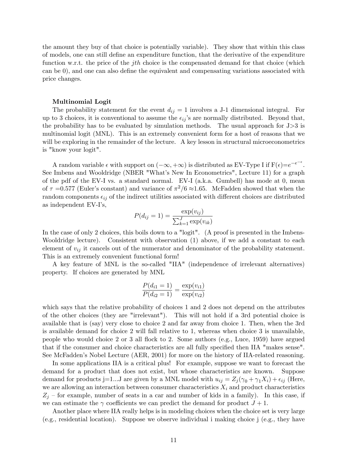the amount they buy of that choice is potentially variable). They show that within this class of models, one can still define an expenditure function, that the derivative of the expenditure function w.r.t. the price of the *j*th choice is the compensated demand for that choice (which can be  $(0)$ , and one can also define the equivalent and compensating variations associated with price changes.

#### Multinomial Logit

The probability statement for the event  $d_{ij} = 1$  involves a J-1 dimensional integral. For up to 3 choices, it is conventional to assume the  $\epsilon_{ij}$ 's are normally distributed. Beyond that, the probability has to be evaluated by simulation methods. The usual approach for  $J > 3$  is multinomial logit (MNL). This is an extremely convenient form for a host of reasons that we will be exploring in the remainder of the lecture. A key lesson in structural microeconometrics is "know your logit".

A random variable  $\epsilon$  with support on  $(-\infty, +\infty)$  is distributed as EV-Type I if  $F(\epsilon)=e^{-e^{-\epsilon}}$ . See Imbens and Wooldridge (NBER "What's New In Econometrics", Lecture 11) for a graph of the pdf of the EV-I vs. a standard normal. EV-I (a.k.a. Gumbell) has mode at 0, mean of  $\tau = 0.577$  (Euler's constant) and variance of  $\pi^2/6 \approx 1.65$ . McFadden showed that when the random components  $\epsilon_{ij}$  of the indirect utilities associated with different choices are distributed as independent EV-Iís,

$$
P(d_{ij} = 1) = \frac{\exp(v_{ij})}{\sum_{k=1}^{J} \exp(v_{ik})}
$$

In the case of only 2 choices, this boils down to a "logit". (A proof is presented in the Imbens-Wooldridge lecture). Consistent with observation (1) above, if we add a constant to each element of  $v_{ij}$  it cancels out of the numerator and denominator of the probability statement. This is an extremely convenient functional form!

A key feature of MNL is the so-called "IIA" (independence of irrelevant alternatives) property. If choices are generated by MNL

$$
\frac{P(d_{i1} = 1)}{P(d_{i2} = 1)} = \frac{\exp(v_{i1})}{\exp(v_{i2})}
$$

which says that the relative probability of choices 1 and 2 does not depend on the attributes of the other choices (they are "irrelevant"). This will not hold if a 3rd potential choice is available that is (say) very close to choice 2 and far away from choice 1. Then, when the 3rd is available demand for choice 2 will fall relative to 1, whereas when choice 3 is unavailable, people who would choice 2 or 3 all áock to 2. Some authors (e.g., Luce, 1959) have argued that if the consumer and choice characteristics are all fully specified then IIA "makes sense". See McFadden's Nobel Lecture (AER, 2001) for more on the history of IIA-related reasoning.

In some applications IIA is a critical plus! For example, suppose we want to forecast the demand for a product that does not exist, but whose characteristics are known. Suppose demand for products j=1...J are given by a MNL model with  $u_{ij} = Z_i(\gamma_0 + \gamma_1 X_i) + \epsilon_{ij}$  (Here, we are allowing an interaction between consumer characteristics  $X_i$  and product characteristics  $Z_j$  – for example, number of seats in a car and number of kids in a family). In this case, if we can estimate the  $\gamma$  coefficients we can predict the demand for product  $J+1$ .

Another place where IIA really helps is in modeling choices when the choice set is very large (e.g., residential location). Suppose we observe individual i making choice j (e.g., they have